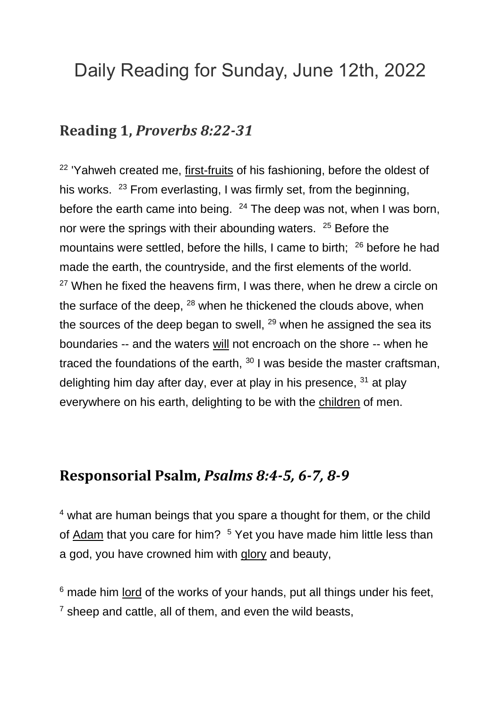# Daily Reading for Sunday, June 12th, 2022

#### **Reading 1,** *Proverbs 8:22-31*

<sup>22</sup> 'Yahweh created me, [first-fruits](https://www.catholic.org/encyclopedia/view.php?id=4692) of his fashioning, before the oldest of his works. <sup>23</sup> From everlasting, I was firmly set, from the beginning, before the earth came into being.  $24$  The deep was not, when I was born, nor were the springs with their abounding waters. <sup>25</sup> Before the mountains were settled, before the hills, I came to birth;  $26$  before he had made the earth, the countryside, and the first elements of the world.  $27$  When he fixed the heavens firm, I was there, when he drew a circle on the surface of the deep, <sup>28</sup> when he thickened the clouds above, when the sources of the deep began to swell, <sup>29</sup> when he assigned the sea its boundaries -- and the waters [will](https://www.catholic.org/encyclopedia/view.php?id=12332) not encroach on the shore -- when he traced the foundations of the earth,  $30$  I was beside the master craftsman, delighting him day after day, ever at play in his presence, <sup>31</sup> at play everywhere on his earth, delighting to be with the [children](https://www.catholic.org/shopping/?category=28) of men.

### **Responsorial Psalm,** *Psalms 8:4-5, 6-7, 8-9*

<sup>4</sup> what are human beings that you spare a thought for them, or the child of [Adam](https://www.catholic.org/encyclopedia/view.php?id=179) that you care for him? <sup>5</sup> Yet you have made him little less than a god, you have crowned him with [glory](https://www.catholic.org/encyclopedia/view.php?id=5201) and beauty,

 $6$  made him [lord](https://www.catholic.org/encyclopedia/view.php?id=5217) of the works of your hands, put all things under his feet,  $<sup>7</sup>$  sheep and cattle, all of them, and even the wild beasts,</sup>